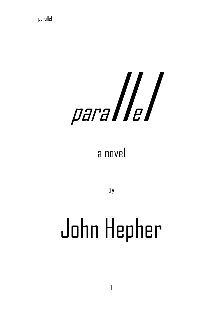# parallel

## a novel

by

# John Hepher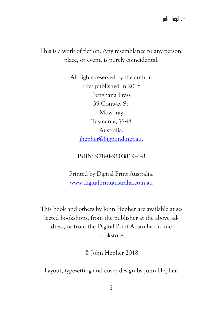This is a work of fiction. Any resemblance to any person, place, or event, is purely coincidental.

> All rights reserved by the author. First published in 2018 Penghana Press 39 Conway St. Mowbray Tasmania, 7248 Australia. [jhepher@bigpond.net.au.](mailto:jhepher@bigpond.net.au)

#### ISBN: 978-0-9803819-4-8

Printed by Digital Print Australia. [www.digitalprintaustralia.com.au](http://www.digitalprintaustralia.com.au/)

This book and others by John Hepher are available at selected bookshops, from the publisher at the above address, or from the Digital Print Australia on-line bookstore.

© John Hepher 2018

Layout, typesetting and cover design by John Hepher.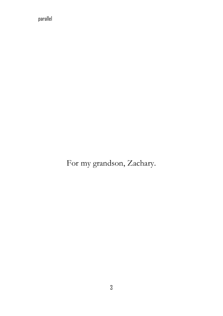For my grandson, Zachary.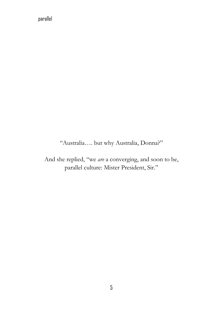"Australia…. but why Australia, Donna?"

And she replied, "we *are* a converging, and soon to be, parallel culture: Mister President, Sir."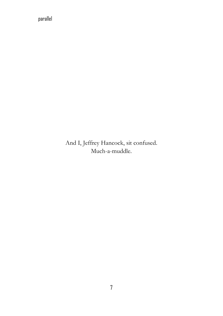And I, Jeffrey Hancock, sit confused. Much-a-muddle.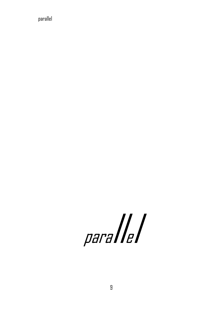parallel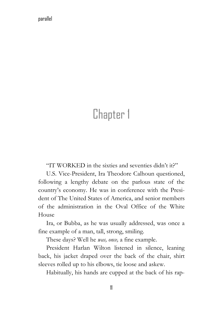### Chapter 1

"IT WORKED in the sixties and seventies didn't it?"

 U.S. Vice-President, Ira Theodore Calhoun questioned, following a lengthy debate on the parlous state of the country's economy. He was in conference with the President of The United States of America, and senior members of the administration in the Oval Office of the White House

 Ira, or Bubba, as he was usually addressed, was once a fine example of a man, tall, strong, smiling.

These days? Well he *was, once,* a fine example.

 President Harlan Wilton listened in silence, leaning back, his jacket draped over the back of the chair, shirt sleeves rolled up to his elbows, tie loose and askew.

Habitually, his hands are cupped at the back of his rap-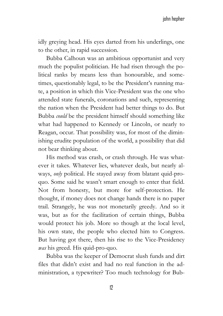idly greying head. His eyes darted from his underlings, one to the other, in rapid succession.

 Bubba Calhoun was an ambitious opportunist and very much the populist politician. He had risen through the political ranks by means less than honourable, and sometimes, questionably legal, to be the President's running mate, a position in which this Vice-President was the one who attended state funerals, coronations and such, representing the nation when the President had better things to do. But Bubba *could* be the president himself should something like what had happened to Kennedy or Lincoln, or nearly to Reagan, occur. That possibility was, for most of the diminishing erudite population of the world, a possibility that did not bear thinking about.

 His method was crash, or crash through. He was whatever it takes. Whatever lies, whatever deals, but nearly always, *only* political. He stayed away from blatant quid-proquo. Some said he wasn't smart enough to enter that field. Not from honesty, but more for self-protection. He thought, if money does not change hands there is no paper trail. Strangely, he was not monetarily greedy. And so it was, but as for the facilitation of certain things, Bubba would protect his job. More so though at the local level, his own state, the people who elected him to Congress. But having got there, then his rise to the Vice-Presidency *was* his greed. His quid-pro-quo.

 Bubba was the keeper of Democrat slush funds and dirt files that didn't exist and had no real function in the administration, a typewriter? Too much technology for Bub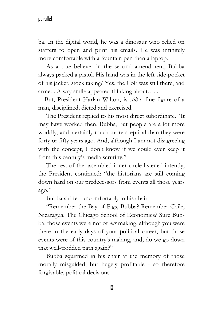ba. In the digital world, he was a dinosaur who relied on staffers to open and print his emails. He was infinitely more comfortable with a fountain pen than a laptop.

 As a true believer in the second amendment, Bubba always packed a pistol. His hand was in the left side-pocket of his jacket, stock taking? Yes, the Colt was still there, and armed. A wry smile appeared thinking about…...

 But, President Harlan Wilton, is *still* a fine figure of a man, disciplined, dieted and exercised.

 The President replied to his most direct subordinate. "It may have worked then, Bubba, but people are a lot more worldly, and, certainly much more sceptical than they were forty or fifty years ago. And, although I am not disagreeing with the concept, I don't know if we could ever keep it from this century's media scrutiny."

 The rest of the assembled inner circle listened intently, the President continued: "the historians are still coming down hard on our predecessors from events all those years ago."

Bubba shifted uncomfortably in his chair.

 "Remember the Bay of Pigs, Bubba? Remember Chile, Nicaragua, The Chicago School of Economics? Sure Bubba, those events were not of *our* making, although you were there in the early days of your political career, but those events were of this country's making, and, do we go down that well-trodden path again?"

 Bubba squirmed in his chair at the memory of those morally misguided, but hugely profitable - so therefore forgivable, political decisions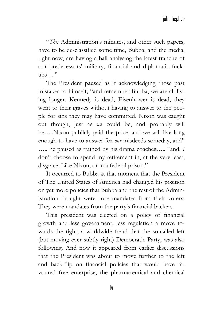"*This* Administration's minutes, and other such papers, have to be de-classified some time, Bubba, and the media, right now, are having a ball analysing the latest tranche of our predecessors' military, financial and diplomatic fuck $ups...$ "

 The President paused as if acknowledging those past mistakes to himself; "and remember Bubba, we are all living longer. Kennedy is dead, Eisenhower is dead, they went to their graves without having to answer to the people for sins they may have committed. Nixon was caught out though, just as *we* could be, and probably will be…..Nixon publicly paid the price, and we will live long enough to have to answer for *our* misdeeds someday, and" ….. he paused as trained by his drama coaches….. "and, *I* don't choose to spend my retirement in, at the very least, disgrace. Like Nixon, or in a federal prison."

 It occurred to Bubba at that moment that the President of The United States of America had changed his position on yet more policies that Bubba and the rest of the Administration thought were core mandates from their voters. They were mandates from the party's financial backers.

 This president was elected on a policy of financial growth and less government, less regulation a move towards the right, a worldwide trend that the so-called left (but moving ever subtly right) Democratic Party, was also following. And now it appeared from earlier discussions that the President was about to move further to the left and back-flip on financial policies that would have favoured free enterprise, the pharmaceutical and chemical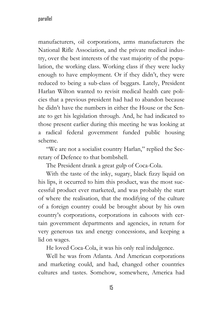manufacturers, oil corporations, arms manufacturers the National Rifle Association, and the private medical industry, over the best interests of the vast majority of the population, the working class. Working class if they were lucky enough to have employment. Or if they didn't, they were reduced to being a sub-class of beggars. Lately, President Harlan Wilton wanted to revisit medical health care policies that a previous president had had to abandon because he didn't have the numbers in either the House or the Senate to get his legislation through. And, he had indicated to those present earlier during this meeting he was looking at a radical federal government funded public housing scheme.

 "We are not a socialist country Harlan," replied the Secretary of Defence to that bombshell.

The President drank a great gulp of Coca-Cola.

 With the taste of the inky, sugary, black fizzy liquid on his lips, it occurred to him this product, was the most successful product ever marketed, and was probably the start of where the realisation, that the modifying of the culture of a foreign country could be brought about by his own country's corporations, corporations in cahoots with certain government departments and agencies, in return for very generous tax and energy concessions, and keeping a lid on wages.

He loved Coca-Cola, it was his only real indulgence.

 Well he was from Atlanta. And American corporations and marketing could, and had, changed other countries cultures and tastes. Somehow, somewhere, America had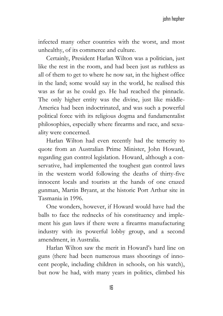infected many other countries with the worst, and most unhealthy, of its commerce and culture.

 Certainly, President Harlan Wilton was a politician, just like the rest in the room, and had been just as ruthless as all of them to get to where he now sat, in the highest office in the land; some would say in the world, he realised this was as far as he could go. He had reached the pinnacle. The only higher entity was the divine, just like middle-America had been indoctrinated, and was such a powerful political force with its religious dogma and fundamentalist philosophies, especially where firearms and race, and sexuality were concerned.

 Harlan Wilton had even recently had the temerity to quote from an Australian Prime Minister, John Howard, regarding gun control legislation. Howard, although a conservative, had implemented the toughest gun control laws in the western world following the deaths of thirty-five innocent locals and tourists at the hands of one crazed gunman, Martin Bryant, at the historic Port Arthur site in Tasmania in 1996.

 One wonders, however, if Howard would have had the balls to face the rednecks of his constituency and implement his gun laws if there were a firearms manufacturing industry with its powerful lobby group, and a second amendment, in Australia.

 Harlan Wilton saw the merit in Howard's hard line on guns (there had been numerous mass shootings of innocent people, including children in schools, on his watch), but now he had, with many years in politics, climbed his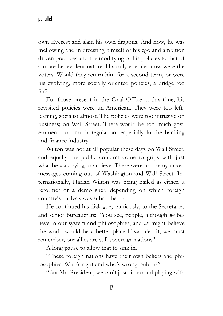own Everest and slain his own dragons. And now, he was mellowing and in divesting himself of his ego and ambition driven practices and the modifying of his policies to that of a more benevolent nature. His only enemies now were the voters. Would they return him for a second term, or were his evolving, more socially oriented policies, a bridge too far?

 For those present in the Oval Office at this time, his revisited policies were un-American. They were too leftleaning, socialist almost. The policies were too intrusive on business; on Wall Street. There would be too much government, too much regulation, especially in the banking and finance industry.

 Wilton was not at all popular these days on Wall Street, and equally the public couldn't come to grips with just what he was trying to achieve. There were too many mixed messages coming out of Washington and Wall Street. Internationally, Harlan Wilton was being hailed as either, a reformer or a demolisher, depending on which foreign country's analysis was subscribed to.

 He continued his dialogue, cautiously, to the Secretaries and senior bureaucrats: "You see, people, although *we* believe in our system and philosophies, and *we* might believe the world would be a better place if *we* ruled it, we must remember, our allies are still sovereign nations"

A long pause to allow that to sink in.

 "These foreign nations have their own beliefs and philosophies. Who's right and who's wrong Bubba?"

"But Mr. President, we can't just sit around playing with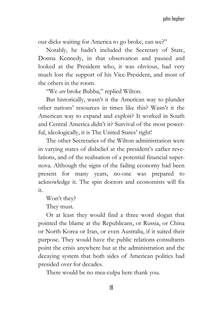our dicks waiting for America to go broke, can we?"

 Notably, he hadn't included the Secretary of State, Donna Kennedy, in that observation and paused and looked at the President who, it was obvious, had very much lost the support of his Vice-President, and most of the others in the room.

"We *are* broke Bubba," replied Wilton.

 But historically, wasn't it the American way to plunder other nations' resources in times like this? Wasn't it the American way to expand and exploit? It worked in South and Central America didn't it? Survival of the most powerful, ideologically, it is The United States' right!

 The other Secretaries of the Wilton administration were in varying states of disbelief at the president's earlier revelations, and of the realisation of a potential financial supernova. Although the signs of the failing economy had been present for many years, no-one was prepared to acknowledge it. The spin doctors and economists will fix it.

Won't they?

They must.

 Or at least they would find a three word slogan that pointed the blame at the Republicans, or Russia, or China or North Korea or Iran, or even Australia, if it suited their purpose. They would have the public relations consultants point the crisis anywhere but at the administration and the decaying system that both sides of American politics had presided over for decades.

There would be no mea-culpa here thank you.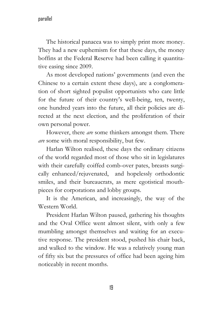The historical panacea was to simply print more money. They had a new euphemism for that these days, the money boffins at the Federal Reserve had been calling it quantitative easing since 2009.

 As most developed nations' governments (and even the Chinese to a certain extent these days), are a conglomeration of short sighted populist opportunists who care little for the future of their country's well-being, ten, twenty, one hundred years into the future, all their policies are directed at the next election, and the proliferation of their own personal power.

 However, there *are* some thinkers amongst them. There *are* some with moral responsibility, but few.

 Harlan Wilton realised, these days the ordinary citizens of the world regarded most of those who sit in legislatures with their carefully coiffed comb-over pates, breasts surgically enhanced/rejuvenated, and hopelessly orthodontic smiles, and their bureaucrats, as mere egotistical mouthpieces for corporations and lobby groups.

 It is the American, and increasingly, the way of the Western World.

 President Harlan Wilton paused, gathering his thoughts and the Oval Office went almost silent, with only a few mumbling amongst themselves and waiting for an executive response. The president stood, pushed his chair back, and walked to the window. He was a relatively young man of fifty six but the pressures of office had been ageing him noticeably in recent months.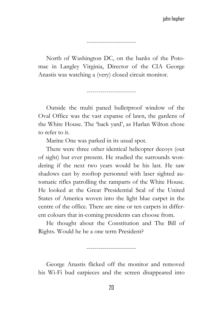North of Washington DC, on the banks of the Potomac in Langley Virginia, Director of the CIA George Anastis was watching a (very) closed circuit monitor.

-------------------------

-------------------------

 Outside the multi paned bulletproof window of the Oval Office was the vast expanse of lawn, the gardens of the White House. The 'back yard', as Harlan Wilton chose to refer to it.

Marine One was parked in its usual spot.

 There were three other identical helicopter decoys (out of sight) but ever present. He studied the surrounds wondering if the next two years would be his last. He saw shadows cast by rooftop personnel with laser sighted automatic rifles patrolling the ramparts of the White House. He looked at the Great Presidential Seal of the United States of America woven into the light blue carpet in the centre of the office. There are nine or ten carpets in different colours that in-coming presidents can choose from.

 He thought about the Constitution and The Bill of Rights. Would he be a one term President?

-------------------------

 George Anastis flicked off the monitor and removed his Wi-Fi bud earpieces and the screen disappeared into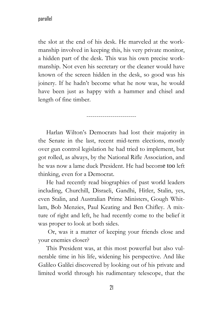the slot at the end of his desk. He marveled at the workmanship involved in keeping this, his very private monitor, a hidden part of the desk. This was his own precise workmanship. Not even his secretary or the cleaner would have known of the screen hidden in the desk, so good was his joinery. If he hadn't become what he now was, he would have been just as happy with a hammer and chisel and length of fine timber.

-------------------------

 Harlan Wilton's Democrats had lost their majority in the Senate in the last, recent mid-term elections, mostly over gun control legislation he had tried to implement, but got rolled, as always, by the National Rifle Association, and he was now a lame duck President. He had become too left thinking, even for a Democrat.

 He had recently read biographies of past world leaders including, Churchill, Disraeli, Gandhi, Hitler, Stalin, yes, even Stalin, and Australian Prime Ministers, Gough Whitlam, Bob Menzies, Paul Keating and Ben Chifley. A mixture of right and left, he had recently come to the belief it was proper to look at both sides.

 Or, was it a matter of keeping your friends close and your enemies closer?

 This President was, at this most powerful but also vulnerable time in his life, widening his perspective. And like Galileo Galilei discovered by looking out of his private and limited world through his rudimentary telescope, that the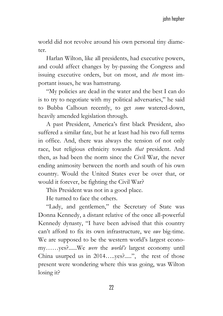world did not revolve around his own personal tiny diameter.

 Harlan Wilton, like all presidents, had executive powers, and could affect changes by by-passing the Congress and issuing executive orders, but on most, and *the* most important issues, he was hamstrung.

 "My policies are dead in the water and the best I can do is to try to negotiate with my political adversaries," he said to Bubba Calhoun recently, to get *some* watered-down, heavily amended legislation through.

 A past President, America's first black President, also suffered a similar fate, but he at least had his two full terms in office. And, there was always the tension of not only race, but religious ethnicity towards *that* president. And then, as had been the norm since the Civil War, the never ending animosity between the north and south of his own country. Would the United States ever be over that, or would it forever, be fighting the Civil War?

This President was not in a good place.

He turned to face the others.

 "Lady, and gentlemen," the Secretary of State was Donna Kennedy, a distant relative of the once all-powerful Kennedy dynasty, "I have been advised that this country can't afford to fix its own infrastructure, we *owe* big-time. We are supposed to be the western world's largest economy……yes?......We *were* the *world's* largest economy until China usurped us in 2014…..yes?.....", the rest of those present were wondering where this was going, was Wilton losing it?